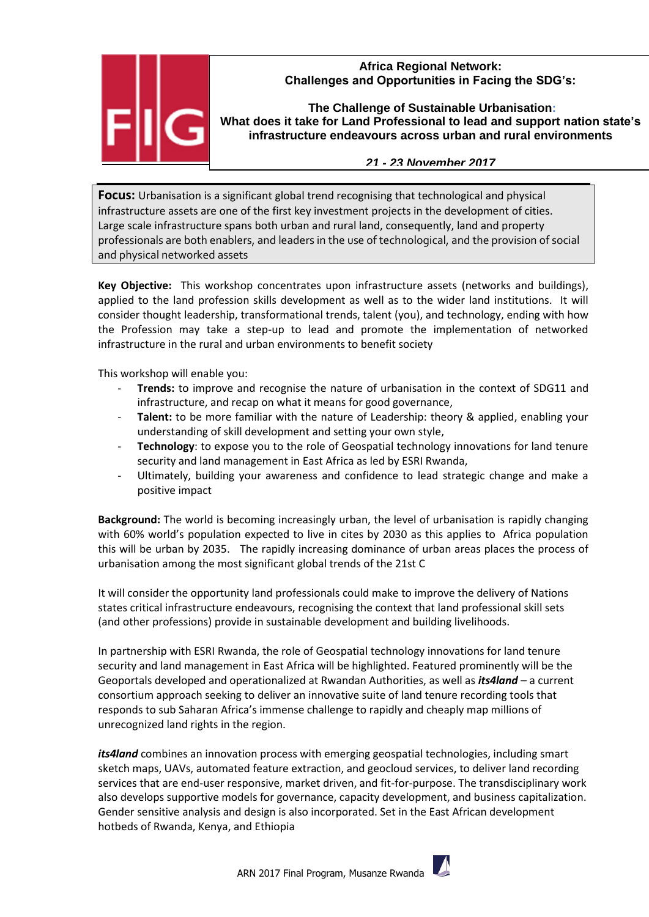## **Africa Regional Network: Challenges and Opportunities in Facing the SDG's:**



**The Challenge of Sustainable Urbanisation: What does it take for Land Professional to lead and support nation state's infrastructure endeavours across urban and rural environments**

## *21 - 23 November 2017*

**Focus:** Urbanisation is a significant global trend recognising that technological and physical infrastructure assets are one of the first key investment projects in the development of cities. Large scale infrastructure spans both urban and rural land, consequently, land and property professionals are both enablers, and leaders in the use of technological, and the provision of social and physical networked assets

**Key Objective:** This workshop concentrates upon infrastructure assets (networks and buildings), applied to the land profession skills development as well as to the wider land institutions. It will consider thought leadership, transformational trends, talent (you), and technology, ending with how the Profession may take a step-up to lead and promote the implementation of networked infrastructure in the rural and urban environments to benefit society

This workshop will enable you:

- **Trends:** to improve and recognise the nature of urbanisation in the context of SDG11 and infrastructure, and recap on what it means for good governance,
- **Talent:** to be more familiar with the nature of Leadership: theory & applied, enabling your understanding of skill development and setting your own style,
- **Technology**: to expose you to the role of Geospatial technology innovations for land tenure security and land management in East Africa as led by ESRI Rwanda,
- Ultimately, building your awareness and confidence to lead strategic change and make a positive impact

**Background:** The world is becoming increasingly urban, the level of urbanisation is rapidly changing with 60% world's population expected to live in cites by 2030 as this applies to Africa population this will be urban by 2035. The rapidly increasing dominance of urban areas places the process of urbanisation among the most significant global trends of the 21st C

It will consider the opportunity land professionals could make to improve the delivery of Nations states critical infrastructure endeavours, recognising the context that land professional skill sets (and other professions) provide in sustainable development and building livelihoods.

In partnership with ESRI Rwanda, the role of Geospatial technology innovations for land tenure security and land management in East Africa will be highlighted. Featured prominently will be the Geoportals developed and operationalized at Rwandan Authorities, as well as *its4land* – a current consortium approach seeking to deliver an innovative suite of land tenure recording tools that responds to sub Saharan Africa's immense challenge to rapidly and cheaply map millions of unrecognized land rights in the region.

*its4land* combines an innovation process with emerging geospatial technologies, including smart sketch maps, UAVs, automated feature extraction, and geocloud services, to deliver land recording services that are end-user responsive, market driven, and fit-for-purpose. The transdisciplinary work also develops supportive models for governance, capacity development, and business capitalization. Gender sensitive analysis and design is also incorporated. Set in the East African development hotbeds of Rwanda, Kenya, and Ethiopia

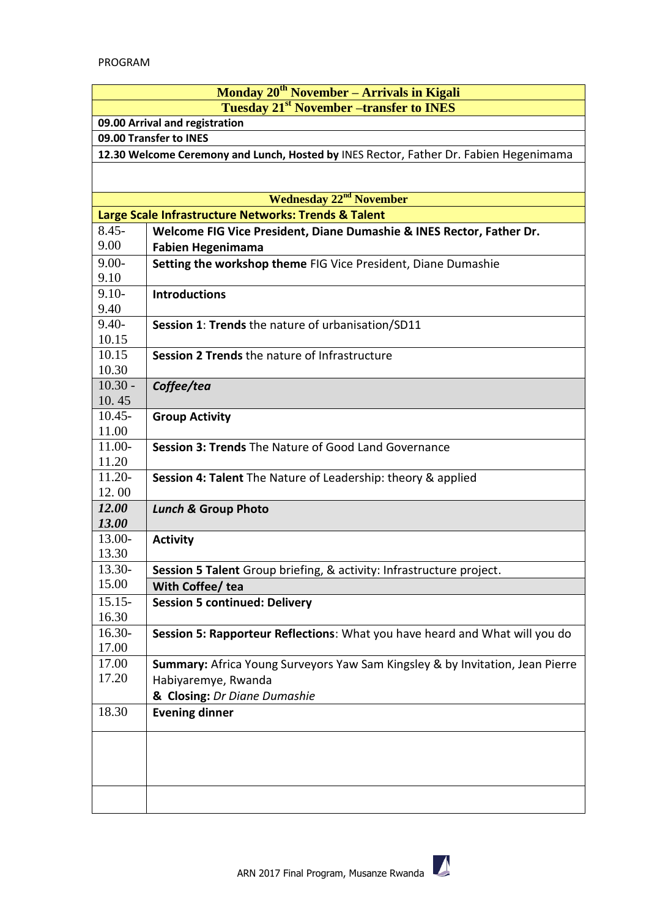|                                                                                                   | Monday 20 <sup>th</sup> November - Arrivals in Kigali                                            |  |
|---------------------------------------------------------------------------------------------------|--------------------------------------------------------------------------------------------------|--|
| Tuesday 21 <sup>st</sup> November – transfer to INES                                              |                                                                                                  |  |
| 09.00 Arrival and registration                                                                    |                                                                                                  |  |
| 09.00 Transfer to INES                                                                            |                                                                                                  |  |
| 12.30 Welcome Ceremony and Lunch, Hosted by INES Rector, Father Dr. Fabien Hegenimama             |                                                                                                  |  |
|                                                                                                   |                                                                                                  |  |
|                                                                                                   |                                                                                                  |  |
| <b>Wednesday 22<sup>nd</sup> November</b><br>Large Scale Infrastructure Networks: Trends & Talent |                                                                                                  |  |
| $8.45 -$                                                                                          |                                                                                                  |  |
| 9.00                                                                                              | Welcome FIG Vice President, Diane Dumashie & INES Rector, Father Dr.<br><b>Fabien Hegenimama</b> |  |
| $9.00 -$                                                                                          | Setting the workshop theme FIG Vice President, Diane Dumashie                                    |  |
| 9.10                                                                                              |                                                                                                  |  |
| $9.10 -$                                                                                          | <b>Introductions</b>                                                                             |  |
| 9.40                                                                                              |                                                                                                  |  |
| $9.40 -$                                                                                          | Session 1: Trends the nature of urbanisation/SD11                                                |  |
| 10.15                                                                                             |                                                                                                  |  |
| 10.15                                                                                             | Session 2 Trends the nature of Infrastructure                                                    |  |
| 10.30                                                                                             |                                                                                                  |  |
| $10.30 -$                                                                                         | Coffee/tea                                                                                       |  |
| 10.45<br>$10.45 -$                                                                                |                                                                                                  |  |
| 11.00                                                                                             | <b>Group Activity</b>                                                                            |  |
| 11.00-                                                                                            | <b>Session 3: Trends The Nature of Good Land Governance</b>                                      |  |
| 11.20                                                                                             |                                                                                                  |  |
| $11.20-$                                                                                          | Session 4: Talent The Nature of Leadership: theory & applied                                     |  |
| 12.00                                                                                             |                                                                                                  |  |
| 12.00                                                                                             | <b>Lunch &amp; Group Photo</b>                                                                   |  |
| 13.00                                                                                             |                                                                                                  |  |
| 13.00-                                                                                            | <b>Activity</b>                                                                                  |  |
| 13.30<br>13.30-                                                                                   |                                                                                                  |  |
| 15.00                                                                                             | Session 5 Talent Group briefing, & activity: Infrastructure project.                             |  |
| $15.15-$                                                                                          | With Coffee/ tea<br><b>Session 5 continued: Delivery</b>                                         |  |
| 16.30                                                                                             |                                                                                                  |  |
| $16.30-$                                                                                          | Session 5: Rapporteur Reflections: What you have heard and What will you do                      |  |
| 17.00                                                                                             |                                                                                                  |  |
| 17.00                                                                                             | Summary: Africa Young Surveyors Yaw Sam Kingsley & by Invitation, Jean Pierre                    |  |
| 17.20                                                                                             | Habiyaremye, Rwanda                                                                              |  |
|                                                                                                   | & Closing: Dr Diane Dumashie                                                                     |  |
| 18.30                                                                                             | <b>Evening dinner</b>                                                                            |  |
|                                                                                                   |                                                                                                  |  |
|                                                                                                   |                                                                                                  |  |
|                                                                                                   |                                                                                                  |  |
|                                                                                                   |                                                                                                  |  |
|                                                                                                   |                                                                                                  |  |
|                                                                                                   |                                                                                                  |  |